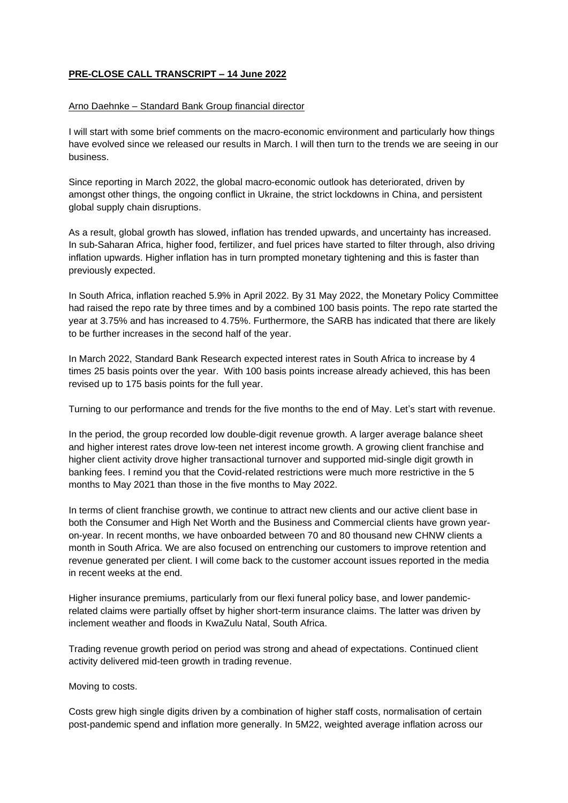## **PRE-CLOSE CALL TRANSCRIPT – 14 June 2022**

## Arno Daehnke – Standard Bank Group financial director

I will start with some brief comments on the macro-economic environment and particularly how things have evolved since we released our results in March. I will then turn to the trends we are seeing in our business.

Since reporting in March 2022, the global macro-economic outlook has deteriorated, driven by amongst other things, the ongoing conflict in Ukraine, the strict lockdowns in China, and persistent global supply chain disruptions.

As a result, global growth has slowed, inflation has trended upwards, and uncertainty has increased. In sub-Saharan Africa, higher food, fertilizer, and fuel prices have started to filter through, also driving inflation upwards. Higher inflation has in turn prompted monetary tightening and this is faster than previously expected.

In South Africa, inflation reached 5.9% in April 2022. By 31 May 2022, the Monetary Policy Committee had raised the repo rate by three times and by a combined 100 basis points. The repo rate started the year at 3.75% and has increased to 4.75%. Furthermore, the SARB has indicated that there are likely to be further increases in the second half of the year.

In March 2022, Standard Bank Research expected interest rates in South Africa to increase by 4 times 25 basis points over the year. With 100 basis points increase already achieved, this has been revised up to 175 basis points for the full year.

Turning to our performance and trends for the five months to the end of May. Let's start with revenue.

In the period, the group recorded low double-digit revenue growth. A larger average balance sheet and higher interest rates drove low-teen net interest income growth. A growing client franchise and higher client activity drove higher transactional turnover and supported mid-single digit growth in banking fees. I remind you that the Covid-related restrictions were much more restrictive in the 5 months to May 2021 than those in the five months to May 2022.

In terms of client franchise growth, we continue to attract new clients and our active client base in both the Consumer and High Net Worth and the Business and Commercial clients have grown yearon-year. In recent months, we have onboarded between 70 and 80 thousand new CHNW clients a month in South Africa. We are also focused on entrenching our customers to improve retention and revenue generated per client. I will come back to the customer account issues reported in the media in recent weeks at the end.

Higher insurance premiums, particularly from our flexi funeral policy base, and lower pandemicrelated claims were partially offset by higher short-term insurance claims. The latter was driven by inclement weather and floods in KwaZulu Natal, South Africa.

Trading revenue growth period on period was strong and ahead of expectations. Continued client activity delivered mid-teen growth in trading revenue.

Moving to costs.

Costs grew high single digits driven by a combination of higher staff costs, normalisation of certain post-pandemic spend and inflation more generally. In 5M22, weighted average inflation across our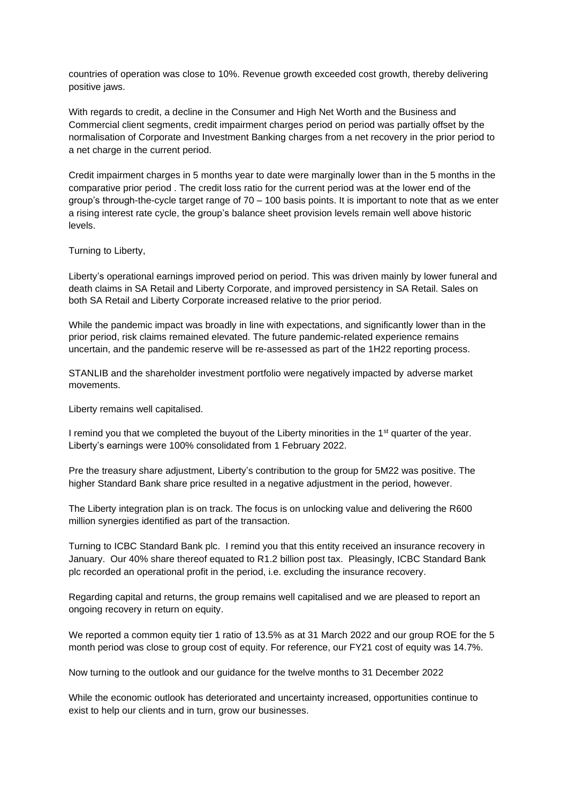countries of operation was close to 10%. Revenue growth exceeded cost growth, thereby delivering positive jaws.

With regards to credit, a decline in the Consumer and High Net Worth and the Business and Commercial client segments, credit impairment charges period on period was partially offset by the normalisation of Corporate and Investment Banking charges from a net recovery in the prior period to a net charge in the current period.

Credit impairment charges in 5 months year to date were marginally lower than in the 5 months in the comparative prior period . The credit loss ratio for the current period was at the lower end of the group's through-the-cycle target range of  $70 - 100$  basis points. It is important to note that as we enter a rising interest rate cycle, the group's balance sheet provision levels remain well above historic levels.

## Turning to Liberty,

Liberty's operational earnings improved period on period. This was driven mainly by lower funeral and death claims in SA Retail and Liberty Corporate, and improved persistency in SA Retail. Sales on both SA Retail and Liberty Corporate increased relative to the prior period.

While the pandemic impact was broadly in line with expectations, and significantly lower than in the prior period, risk claims remained elevated. The future pandemic-related experience remains uncertain, and the pandemic reserve will be re-assessed as part of the 1H22 reporting process.

STANLIB and the shareholder investment portfolio were negatively impacted by adverse market movements.

Liberty remains well capitalised.

I remind you that we completed the buyout of the Liberty minorities in the 1<sup>st</sup> quarter of the year. Liberty's earnings were 100% consolidated from 1 February 2022.

Pre the treasury share adjustment, Liberty's contribution to the group for 5M22 was positive. The higher Standard Bank share price resulted in a negative adjustment in the period, however.

The Liberty integration plan is on track. The focus is on unlocking value and delivering the R600 million synergies identified as part of the transaction.

Turning to ICBC Standard Bank plc. I remind you that this entity received an insurance recovery in January. Our 40% share thereof equated to R1.2 billion post tax. Pleasingly, ICBC Standard Bank plc recorded an operational profit in the period, i.e. excluding the insurance recovery.

Regarding capital and returns, the group remains well capitalised and we are pleased to report an ongoing recovery in return on equity.

We reported a common equity tier 1 ratio of 13.5% as at 31 March 2022 and our group ROE for the 5 month period was close to group cost of equity. For reference, our FY21 cost of equity was 14.7%.

Now turning to the outlook and our guidance for the twelve months to 31 December 2022

While the economic outlook has deteriorated and uncertainty increased, opportunities continue to exist to help our clients and in turn, grow our businesses.